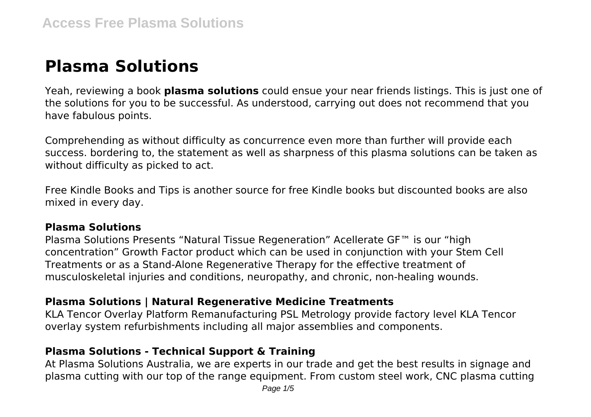# **Plasma Solutions**

Yeah, reviewing a book **plasma solutions** could ensue your near friends listings. This is just one of the solutions for you to be successful. As understood, carrying out does not recommend that you have fabulous points.

Comprehending as without difficulty as concurrence even more than further will provide each success. bordering to, the statement as well as sharpness of this plasma solutions can be taken as without difficulty as picked to act.

Free Kindle Books and Tips is another source for free Kindle books but discounted books are also mixed in every day.

#### **Plasma Solutions**

Plasma Solutions Presents "Natural Tissue Regeneration" Acellerate GF™ is our "high concentration" Growth Factor product which can be used in conjunction with your Stem Cell Treatments or as a Stand-Alone Regenerative Therapy for the effective treatment of musculoskeletal injuries and conditions, neuropathy, and chronic, non-healing wounds.

## **Plasma Solutions | Natural Regenerative Medicine Treatments**

KLA Tencor Overlay Platform Remanufacturing PSL Metrology provide factory level KLA Tencor overlay system refurbishments including all major assemblies and components.

## **Plasma Solutions - Technical Support & Training**

At Plasma Solutions Australia, we are experts in our trade and get the best results in signage and plasma cutting with our top of the range equipment. From custom steel work, CNC plasma cutting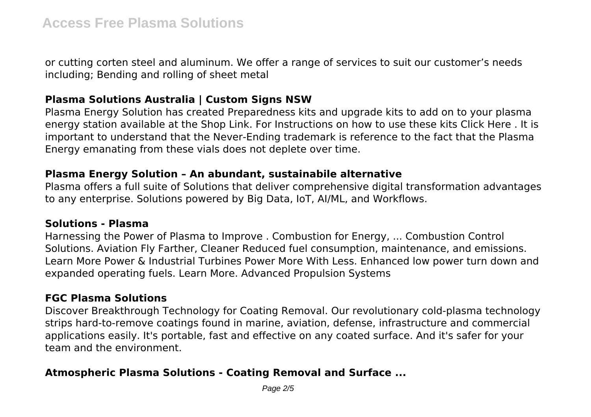or cutting corten steel and aluminum. We offer a range of services to suit our customer's needs including; Bending and rolling of sheet metal

## **Plasma Solutions Australia | Custom Signs NSW**

Plasma Energy Solution has created Preparedness kits and upgrade kits to add on to your plasma energy station available at the Shop Link. For Instructions on how to use these kits Click Here . It is important to understand that the Never-Ending trademark is reference to the fact that the Plasma Energy emanating from these vials does not deplete over time.

#### **Plasma Energy Solution – An abundant, sustainabile alternative**

Plasma offers a full suite of Solutions that deliver comprehensive digital transformation advantages to any enterprise. Solutions powered by Big Data, IoT, AI/ML, and Workflows.

#### **Solutions - Plasma**

Harnessing the Power of Plasma to Improve . Combustion for Energy, ... Combustion Control Solutions. Aviation Fly Farther, Cleaner Reduced fuel consumption, maintenance, and emissions. Learn More Power & Industrial Turbines Power More With Less. Enhanced low power turn down and expanded operating fuels. Learn More. Advanced Propulsion Systems

## **FGC Plasma Solutions**

Discover Breakthrough Technology for Coating Removal. Our revolutionary cold-plasma technology strips hard-to-remove coatings found in marine, aviation, defense, infrastructure and commercial applications easily. It's portable, fast and effective on any coated surface. And it's safer for your team and the environment.

# **Atmospheric Plasma Solutions - Coating Removal and Surface ...**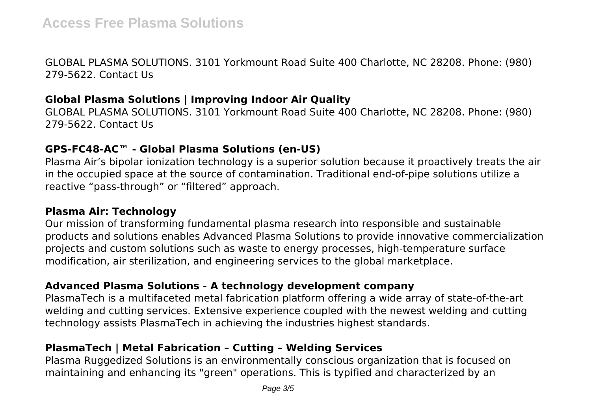GLOBAL PLASMA SOLUTIONS. 3101 Yorkmount Road Suite 400 Charlotte, NC 28208. Phone: (980) 279-5622. Contact Us

# **Global Plasma Solutions | Improving Indoor Air Quality**

GLOBAL PLASMA SOLUTIONS. 3101 Yorkmount Road Suite 400 Charlotte, NC 28208. Phone: (980) 279-5622. Contact Us

## **GPS-FC48-AC™ - Global Plasma Solutions (en-US)**

Plasma Air's bipolar ionization technology is a superior solution because it proactively treats the air in the occupied space at the source of contamination. Traditional end-of-pipe solutions utilize a reactive "pass-through" or "filtered" approach.

## **Plasma Air: Technology**

Our mission of transforming fundamental plasma research into responsible and sustainable products and solutions enables Advanced Plasma Solutions to provide innovative commercialization projects and custom solutions such as waste to energy processes, high-temperature surface modification, air sterilization, and engineering services to the global marketplace.

## **Advanced Plasma Solutions - A technology development company**

PlasmaTech is a multifaceted metal fabrication platform offering a wide array of state-of-the-art welding and cutting services. Extensive experience coupled with the newest welding and cutting technology assists PlasmaTech in achieving the industries highest standards.

# **PlasmaTech | Metal Fabrication – Cutting – Welding Services**

Plasma Ruggedized Solutions is an environmentally conscious organization that is focused on maintaining and enhancing its "green" operations. This is typified and characterized by an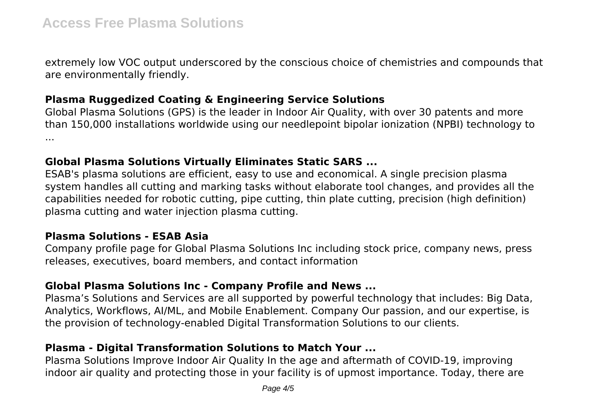extremely low VOC output underscored by the conscious choice of chemistries and compounds that are environmentally friendly.

# **Plasma Ruggedized Coating & Engineering Service Solutions**

Global Plasma Solutions (GPS) is the leader in Indoor Air Quality, with over 30 patents and more than 150,000 installations worldwide using our needlepoint bipolar ionization (NPBI) technology to ...

# **Global Plasma Solutions Virtually Eliminates Static SARS ...**

ESAB's plasma solutions are efficient, easy to use and economical. A single precision plasma system handles all cutting and marking tasks without elaborate tool changes, and provides all the capabilities needed for robotic cutting, pipe cutting, thin plate cutting, precision (high definition) plasma cutting and water injection plasma cutting.

# **Plasma Solutions - ESAB Asia**

Company profile page for Global Plasma Solutions Inc including stock price, company news, press releases, executives, board members, and contact information

# **Global Plasma Solutions Inc - Company Profile and News ...**

Plasma's Solutions and Services are all supported by powerful technology that includes: Big Data, Analytics, Workflows, AI/ML, and Mobile Enablement. Company Our passion, and our expertise, is the provision of technology-enabled Digital Transformation Solutions to our clients.

# **Plasma - Digital Transformation Solutions to Match Your ...**

Plasma Solutions Improve Indoor Air Quality In the age and aftermath of COVID-19, improving indoor air quality and protecting those in your facility is of upmost importance. Today, there are